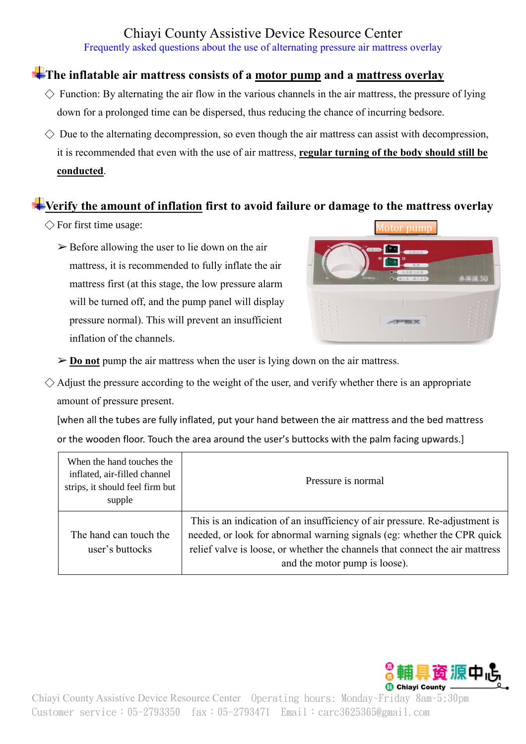# Chiayi County Assistive Device Resource Center

Frequently asked questions about the use of alternating pressure air mattress overlay

### **The inflatable air mattress consists of a motor pump and a mattress overlay**

- $\Diamond$  Function: By alternating the air flow in the various channels in the air mattress, the pressure of lying down for a prolonged time can be dispersed, thus reducing the chance of incurring bedsore.
- $\Diamond$  Due to the alternating decompression, so even though the air mattress can assist with decompression, it is recommended that even with the use of air mattress, **regular turning of the body should still be conducted**.

#### **Verify the amount of inflation first to avoid failure or damage to the mattress overlay**

- $\Diamond$  For first time usage:
	- $\triangleright$  Before allowing the user to lie down on the air mattress, it is recommended to fully inflate the air mattress first (at this stage, the low pressure alarm will be turned off, and the pump panel will display pressure normal). This will prevent an insufficient inflation of the channels.

Motor pump

- ➢ **Do not** pump the air mattress when the user is lying down on the air mattress.
- $\Diamond$  Adjust the pressure according to the weight of the user, and verify whether there is an appropriate amount of pressure present.

[when all the tubes are fully inflated, put your hand between the air mattress and the bed mattress or the wooden floor. Touch the area around the user's buttocks with the palm facing upwards.]

| When the hand touches the<br>inflated, air-filled channel<br>strips, it should feel firm but<br>supple | Pressure is normal                                                                                                                                                                                                                                                      |
|--------------------------------------------------------------------------------------------------------|-------------------------------------------------------------------------------------------------------------------------------------------------------------------------------------------------------------------------------------------------------------------------|
| The hand can touch the<br>user's buttocks                                                              | This is an indication of an insufficiency of air pressure. Re-adjustment is<br>needed, or look for abnormal warning signals (eg: whether the CPR quick<br>relief valve is loose, or whether the channels that connect the air mattress<br>and the motor pump is loose). |